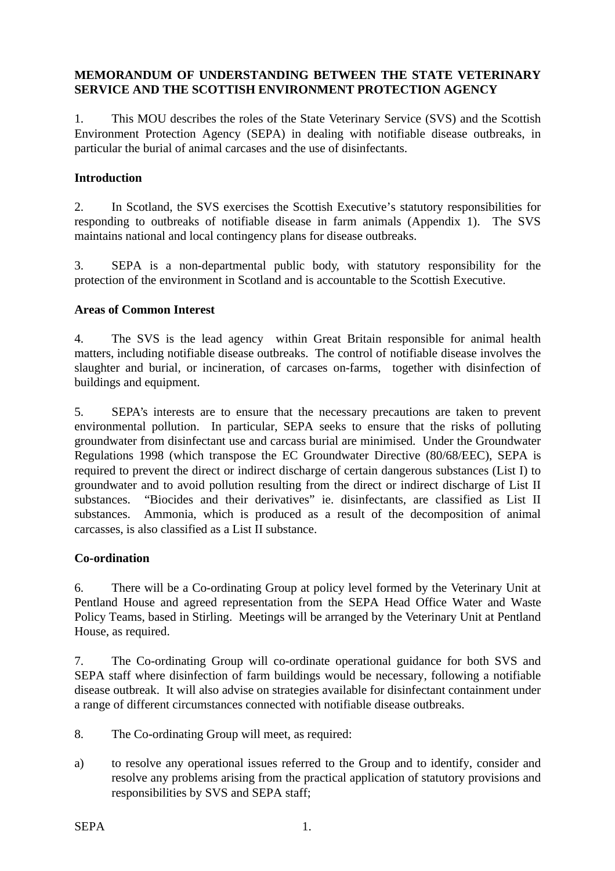# **MEMORANDUM OF UNDERSTANDING BETWEEN THE STATE VETERINARY SERVICE AND THE SCOTTISH ENVIRONMENT PROTECTION AGENCY**

1. This MOU describes the roles of the State Veterinary Service (SVS) and the Scottish Environment Protection Agency (SEPA) in dealing with notifiable disease outbreaks, in particular the burial of animal carcases and the use of disinfectants.

### **Introduction**

2. In Scotland, the SVS exercises the Scottish Executive's statutory responsibilities for responding to outbreaks of notifiable disease in farm animals (Appendix 1). The SVS maintains national and local contingency plans for disease outbreaks.

3. SEPA is a non-departmental public body, with statutory responsibility for the protection of the environment in Scotland and is accountable to the Scottish Executive.

#### **Areas of Common Interest**

4. The SVS is the lead agency within Great Britain responsible for animal health matters, including notifiable disease outbreaks. The control of notifiable disease involves the slaughter and burial, or incineration, of carcases on-farms, together with disinfection of buildings and equipment.

5. SEPA's interests are to ensure that the necessary precautions are taken to prevent environmental pollution. In particular, SEPA seeks to ensure that the risks of polluting groundwater from disinfectant use and carcass burial are minimised. Under the Groundwater Regulations 1998 (which transpose the EC Groundwater Directive (80/68/EEC), SEPA is required to prevent the direct or indirect discharge of certain dangerous substances (List I) to groundwater and to avoid pollution resulting from the direct or indirect discharge of List II substances. "Biocides and their derivatives" ie. disinfectants, are classified as List II substances. Ammonia, which is produced as a result of the decomposition of animal carcasses, is also classified as a List II substance.

#### **Co-ordination**

6. There will be a Co-ordinating Group at policy level formed by the Veterinary Unit at Pentland House and agreed representation from the SEPA Head Office Water and Waste Policy Teams, based in Stirling. Meetings will be arranged by the Veterinary Unit at Pentland House, as required.

7. The Co-ordinating Group will co-ordinate operational guidance for both SVS and SEPA staff where disinfection of farm buildings would be necessary, following a notifiable disease outbreak. It will also advise on strategies available for disinfectant containment under a range of different circumstances connected with notifiable disease outbreaks.

8. The Co-ordinating Group will meet, as required:

a) to resolve any operational issues referred to the Group and to identify, consider and resolve any problems arising from the practical application of statutory provisions and responsibilities by SVS and SEPA staff;